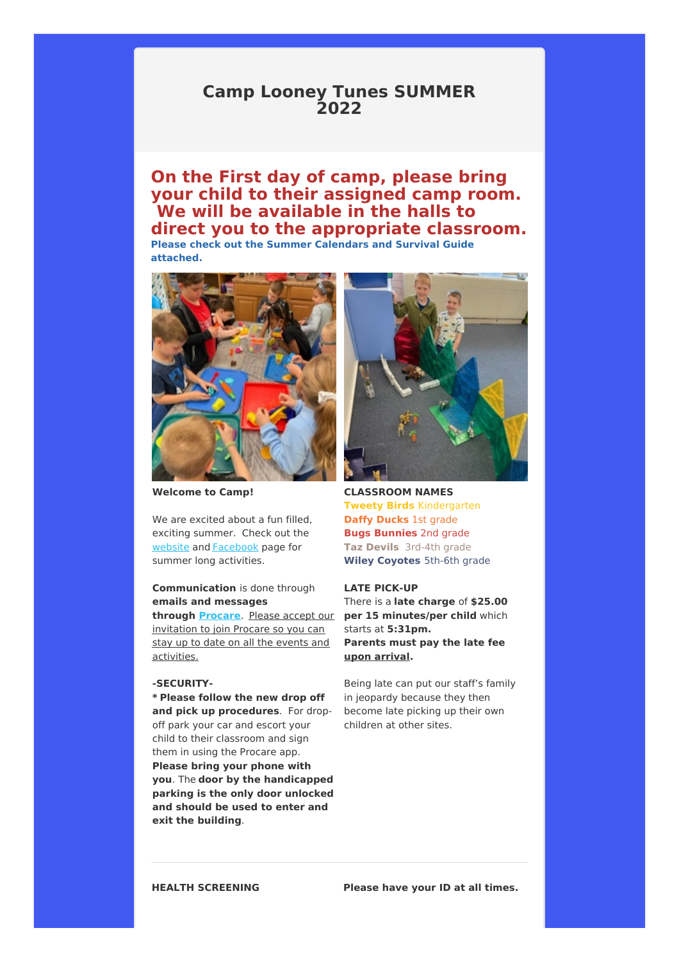## **Camp Looney Tunes SUMMER 2022**

# **On the First day of camp, please bring your child to their assigned camp room. We will be available in the halls to direct you to the appropriate classroom.**

**Please check out the Summer Calendars and Survival Guide attached.**



**Welcome to Camp!**

We are excited about a fun filled. exciting summer. Check out the website and Facebook page for summer long activities.

### **Communication** is done through **emails and messages**

invitation to join Procare so you can stay up to date on all the events and activities.

### **-SECURITY-**

**\* Please follow the new drop off and pick up procedures**. For dropoff park your car and escort your child to their classroom and sign them in using the Procare app. **Please bring your phone with you**. The **door by the handicapped parking is the only door unlocked and should be used to enter and exit the building**.



**CLASSROOM NAMES Tweety Birds** Kindergarten **Daffy Ducks** 1st grade **Bugs Bunnies** 2nd grade **Taz Devils** 3rd-4th grade **Wiley Coyotes** 5th-6th grade

#### **LATE PICK-UP**

**through Procare**. Please accept our **per 15 minutes/per child** which There is a **late charge** of **\$25.00** starts at **5:31pm. Parents must pay the late fee upon arrival.**

> Being late can put our staff's family in jeopardy because they then become late picking up their own children at other sites.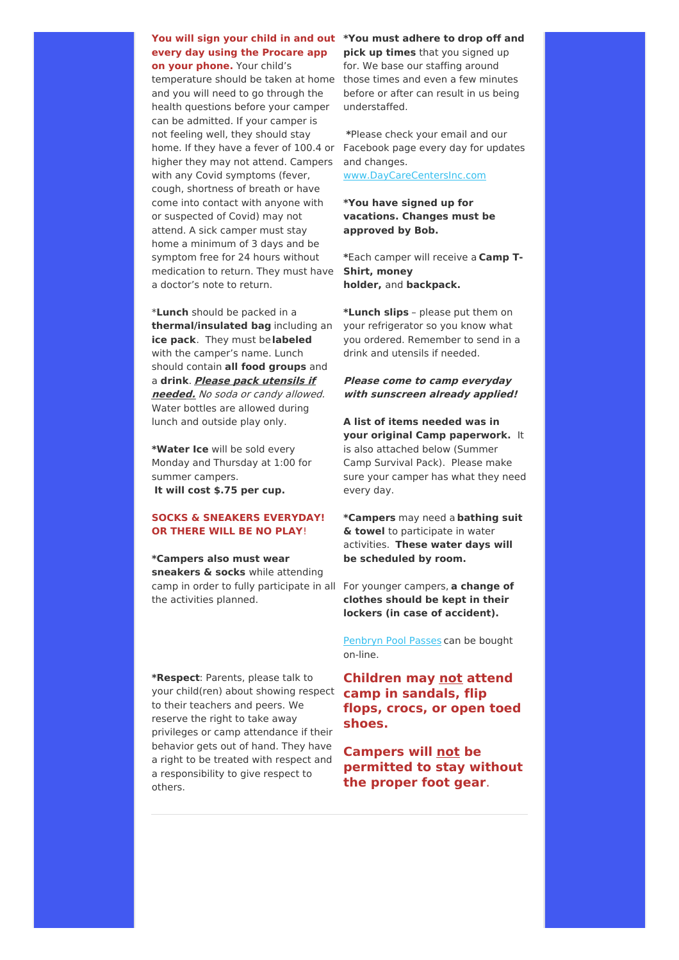### **You will sign your child in and out \*You must adhere to drop off and every day using the Procare app**

**on your phone.** Your child's temperature should be taken at home those times and even a few minutes and you will need to go through the health questions before your camper can be admitted. If your camper is not feeling well, they should stay home. If they have a fever of 100.4 or Facebook page every day for updates higher they may not attend. Campers with any Covid symptoms (fever, cough, shortness of breath or have come into contact with anyone with or suspected of Covid) may not attend. A sick camper must stay home a minimum of 3 days and be symptom free for 24 hours without medication to return. They must have **Shirt, money** a doctor's note to return.

\***Lunch** should be packed in a **thermal/insulated bag** including an **ice pack**. They must be**labeled** with the camper's name. Lunch should contain **all food groups** and a **drink**. **Please pack utensils if needed.** No soda or candy allowed. Water bottles are allowed during lunch and outside play only.

**\*Water Ice** will be sold every Monday and Thursday at 1:00 for summer campers. **It will cost \$.75 per cup.**

### **SOCKS & SNEAKERS EVERYDAY! OR THERE WILL BE NO PLAY**!

**\*Campers also must wear sneakers & socks** while attending camp in order to fully participate in all For younger campers, **a change of** the activities planned.

**\*Respect**: Parents, please talk to your child(ren) about showing respect to their teachers and peers. We reserve the right to take away privileges or camp attendance if their behavior gets out of hand. They have a right to be treated with respect and a responsibility to give respect to others.

**pick up times** that you signed up for. We base our staffing around before or after can result in us being understaffed.

**\***Please check your email and our and changes.

www.DayCareCentersInc.com

### **\*You have signed up for vacations. Changes must be approved by Bob.**

**\***Each camper will receive a **Camp Tholder,** and **backpack.**

**\*Lunch slips** – please put them on your refrigerator so you know what you ordered. Remember to send in a drink and utensils if needed.

### **Please come to camp everyday with sunscreen already applied!**

**A list of items needed was in your original Camp paperwork.** It is also attached below (Summer Camp Survival Pack). Please make sure your camper has what they need every day.

**\*Campers** may need a **bathing suit & towel** to participate in water activities. **These water days will be scheduled by room.**

**clothes should be kept in their lockers (in case of accident).**

Penbryn Pool Passes can be bought on-line.

**Children may not attend camp in sandals, flip flops, crocs, or open toed shoes.**

**Campers will not be permitted to stay without the proper foot gear**.